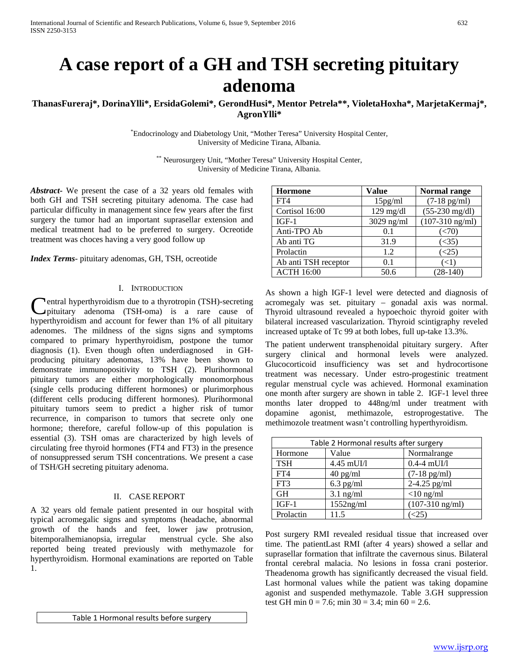# **A case report of a GH and TSH secreting pituitary adenoma**

## **ThanasFureraj\*, DorinaYlli\*, ErsidaGolemi\*, GerondHusi\*, Mentor Petrela\*\*, VioletaHoxha\*, MarjetaKermaj\*, AgronYlli\***

\* Endocrinology and Diabetology Unit, "Mother Teresa" University Hospital Center, University of Medicine Tirana, Albania.

> \*\* Neurosurgery Unit, "Mother Teresa" University Hospital Center, University of Medicine Tirana, Albania.

*Abstract***-** We present the case of a 32 years old females with both GH and TSH secreting pituitary adenoma. The case had particular difficulty in management since few years after the first surgery the tumor had an important suprasellar extension and medical treatment had to be preferred to surgery. Ocreotide treatment was choces having a very good follow up

*Index Terms*- pituitary adenomas, GH, TSH, ocreotide

#### I. INTRODUCTION

**Pentral hyperthyroidism due to a thyrotropin (TSH)-secreting** pituitary adenoma (TSH-oma) is a rare cause of **C**entral hyperthyroidism due to a thyrotropin (TSH)-secreting<br>pituitary adenoma (TSH-oma) is a rare cause of<br>hyperthyroidism and account for fewer than 1% of all pituitary adenomes. The mildness of the signs signs and symptoms compared to primary hyperthyroidism, postpone the tumor diagnosis (1). Even though often underdiagnosed in GHproducing pituitary adenomas, 13% have been shown to demonstrate immunopositivity to TSH (2). Plurihormonal pituitary tumors are either morphologically monomorphous (single cells producing different hormones) or plurimorphous (different cells producing different hormones). Plurihormonal pituitary tumors seem to predict a higher risk of tumor recurrence, in comparison to tumors that secrete only one hormone; therefore, careful follow-up of this population is essential (3). TSH omas are characterized by high levels of circulating free thyroid hormones (FT4 and FT3) in the presence of nonsuppressed serum TSH concentrations. We present a case of TSH/GH secreting pituitary adenoma.

#### II. CASE REPORT

A 32 years old female patient presented in our hospital with typical acromegalic signs and symptoms (headache, abnormal growth of the hands and feet, lower jaw protrusion, bitemporalhemianopsia, irregular menstrual cycle. She also reported being treated previously with methymazole for hyperthyroidism. Hormonal examinations are reported on Table 1.

| <b>Hormone</b>       | Value                | Normal range              |
|----------------------|----------------------|---------------------------|
| FT4                  | 15 <sub>pg</sub> /ml | $(7-18 \text{ pg/ml})$    |
| Cortisol 16:00       | $129$ mg/dl          | $(55-230 \text{ mg/dl})$  |
| $IGF-1$              | $3029$ ng/ml         | $(107-310 \text{ ng/ml})$ |
| Anti-TPO Ab          | 0.1                  | $(\leq 70)$               |
| Ab anti TG           | 31.9                 | (<35)                     |
| Prolactin            | 1.2                  | $(\leq 25)$               |
| Ab anti TSH receptor | 0.1                  | (<1)                      |
| <b>ACTH 16:00</b>    | 50.6                 | $(28-140)$                |

As shown a high IGF-1 level were detected and diagnosis of acromegaly was set. pituitary – gonadal axis was normal. Thyroid ultrasound revealed a hypoechoic thyroid goiter with bilateral increased vascularization. Thyroid scintigraphy reveled increased uptake of Tc 99 at both lobes, full up-take 13.3%.

The patient underwent transphenoidal pituitary surgery. After surgery clinical and hormonal levels were analyzed. Glucocorticoid insufficiency was set and hydrocortisone treatment was necessary. Under estro-progestinic treatment regular menstrual cycle was achieved. Hormonal examination one month after surgery are shown in table 2. IGF-1 level three months later dropped to 448ng/ml under treatment with dopamine agonist, methimazole, estroprogestative. The methimozole treatment wasn't controlling hyperthyroidism.

| Table 2 Hormonal results after surgery |              |                        |  |
|----------------------------------------|--------------|------------------------|--|
| Hormone                                | Value        | Normalrange            |  |
| <b>TSH</b>                             | $4.45$ mUI/l | $0.4-4$ mUI/l          |  |
| FT4                                    | $40$ pg/ml   | $(7-18 \text{ pg/ml})$ |  |
| FT3                                    | $6.3$ pg/ml  | $2-4.25$ pg/ml         |  |
| <b>GH</b>                              | $3.1$ ng/ml  | $<$ 10 ng/ml           |  |
| $IGF-1$                                | $1552$ ng/ml | $(107-310$ ng/ml)      |  |
| Prolactin                              | 11.5         |                        |  |

Post surgery RMI revealed residual tissue that increased over time. The patientLast RMI (after 4 years) showed a sellar and suprasellar formation that infiltrate the cavernous sinus. Bilateral frontal cerebral malacia. No lesions in fossa crani posterior. Theadenoma growth has significantly decreased the visual field. Last hormonal values while the patient was taking dopamine agonist and suspended methymazole. Table 3.GH suppression test GH min  $0 = 7.6$ ; min  $30 = 3.4$ ; min  $60 = 2.6$ .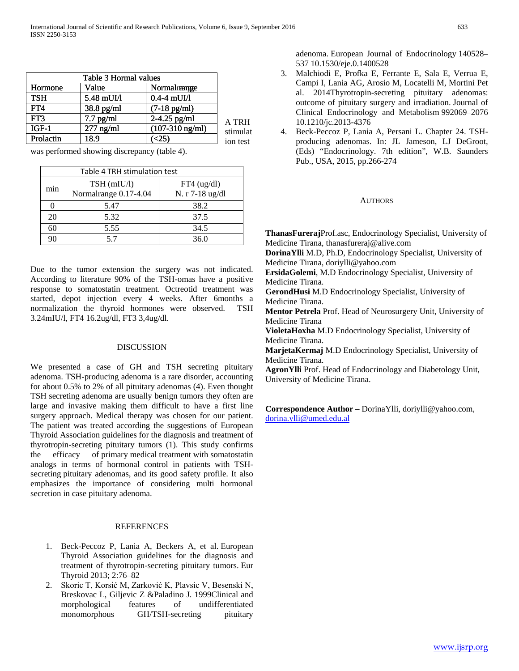| Table 3 Hormal values |             |                           |          |
|-----------------------|-------------|---------------------------|----------|
| Hormone               | Value       | Normalmange               |          |
| <b>TSH</b>            | 5.48 mUI/l  | $0.4-4$ mUI/l             |          |
| FT <sub>4</sub>       | 38.8 pg/ml  | $(7-18 \text{ pg/ml})$    |          |
| FT3                   | $7.7$ pg/ml | 2-4.25 pg/ml              | A TRH    |
| $IGF-1$               | $277$ ng/ml | $(107-310 \text{ ng/ml})$ | stimulat |
| Prolactin             | 18.9        | <25                       | ion test |
|                       |             |                           |          |

was performed showing discrepancy (table 4).

| Table 4 TRH stimulation test |                                      |                                  |
|------------------------------|--------------------------------------|----------------------------------|
| min                          | TSH (mIU/l)<br>Normalrange 0.17-4.04 | $FT4$ (ug/dl)<br>N. r 7-18 ug/dl |
|                              | 5.47                                 | 38.2                             |
| 20                           | 5.32                                 | 37.5                             |
| 60                           | 5.55                                 | 34.5                             |
| 90                           | 57                                   | 36.0                             |

Due to the tumor extension the surgery was not indicated. According to literature 90% of the TSH-omas have a positive response to somatostatin treatment. Octreotid treatment was started, depot injection every 4 weeks. After 6months a normalization the thyroid hormones were observed. TSH 3.24mIU/l, FT4 16.2ug/dl, FT3 3,4ug/dl.

#### DISCUSSION

We presented a case of GH and TSH secreting pituitary adenoma. TSH-producing adenoma is a rare disorder, accounting for about 0.5% to 2% of all pituitary adenomas (4). Even thought TSH secreting adenoma are usually benign tumors they often are large and invasive making them difficult to have a first line surgery approach. Medical therapy was chosen for our patient. The patient was treated according the suggestions of European Thyroid Association guidelines for the diagnosis and treatment of thyrotropin-secreting pituitary tumors (1). This study confirms the efficacy of primary medical treatment with somatostatin analogs in terms of hormonal control in patients with TSHsecreting pituitary adenomas, and its good safety profile. It also emphasizes the importance of considering multi hormonal secretion in case pituitary adenoma.

### **REFERENCES**

- 1. Beck-Peccoz P, Lania A, Beckers A, et al. European Thyroid Association guidelines for the diagnosis and treatment of thyrotropin-secreting pituitary tumors. Eur Thyroid 2013; 2:76–82
- 2. Skoric T, Korsić M, Zarković K, Plavsic V, Besenski N, Breskovac L, Giljevic Z &Paladino J. 1999Clinical and morphological features of undifferentiated monomorphous GH/TSH-secreting pituitary

adenoma. European Journal of Endocrinology 140528– 537 10.1530/eje.0.1400528

- 3. Malchiodi E, Profka E, Ferrante E, Sala E, Verrua E, Campi I, Lania AG, Arosio M, Locatelli M, Mortini Pet al. 2014Thyrotropin-secreting pituitary adenomas: outcome of pituitary surgery and irradiation. Journal of Clinical Endocrinology and Metabolism 992069–2076 10.1210/jc.2013-4376
- 4. Beck-Peccoz P, Lania A, Persani L. Chapter 24. TSHproducing adenomas. In: JL Jameson, LJ DeGroot, (Eds) "Endocrinology. 7th edition", W.B. Saunders Pub., USA, 2015, pp.266-274

#### **AUTHORS**

**ThanasFureraj**Prof.asc, Endocrinology Specialist, University of Medicine Tirana, thanasfureraj@alive.com

**DorinaYlli** M.D, Ph.D, Endocrinology Specialist, University of Medicine Tirana, doriylli@yahoo.com

**ErsidaGolemi**, M.D Endocrinology Specialist, University of Medicine Tirana.

**GerondHusi** M.D Endocrinology Specialist, University of Medicine Tirana.

**Mentor Petrela** Prof. Head of Neurosurgery Unit, University of Medicine Tirana

**VioletaHoxha** M.D Endocrinology Specialist, University of Medicine Tirana.

**MarjetaKermaj** M.D Endocrinology Specialist, University of Medicine Tirana.

**AgronYlli** Prof. Head of Endocrinology and Diabetology Unit, University of Medicine Tirana.

**Correspondence Author** – DorinaYlli, doriylli@yahoo.com, [dorina.ylli@umed.edu.al](mailto:dorina.ylli@umed.edu.al)